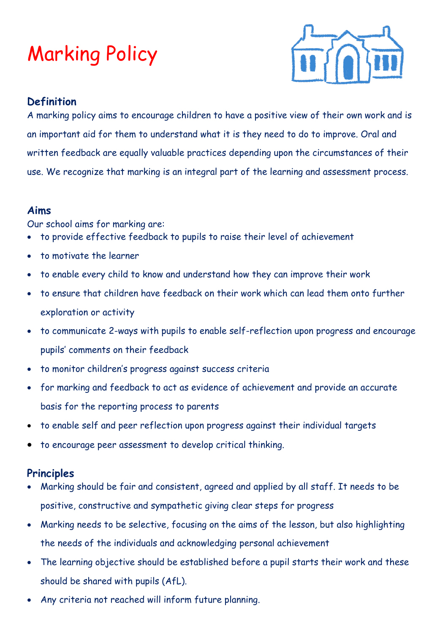## Marking Policy



### **Definition**

A marking policy aims to encourage children to have a positive view of their own work and is an important aid for them to understand what it is they need to do to improve. Oral and written feedback are equally valuable practices depending upon the circumstances of their use. We recognize that marking is an integral part of the learning and assessment process.

#### **Aims**

Our school aims for marking are:

- to provide effective feedback to pupils to raise their level of achievement
- to motivate the learner
- to enable every child to know and understand how they can improve their work
- to ensure that children have feedback on their work which can lead them onto further exploration or activity
- to communicate 2-ways with pupils to enable self-reflection upon progress and encourage pupils' comments on their feedback
- to monitor children's progress against success criteria
- for marking and feedback to act as evidence of achievement and provide an accurate basis for the reporting process to parents
- to enable self and peer reflection upon progress against their individual targets
- to encourage peer assessment to develop critical thinking.

#### **Principles**

- Marking should be fair and consistent, agreed and applied by all staff. It needs to be positive, constructive and sympathetic giving clear steps for progress
- Marking needs to be selective, focusing on the aims of the lesson, but also highlighting the needs of the individuals and acknowledging personal achievement
- The learning objective should be established before a pupil starts their work and these should be shared with pupils (AfL).
- Any criteria not reached will inform future planning.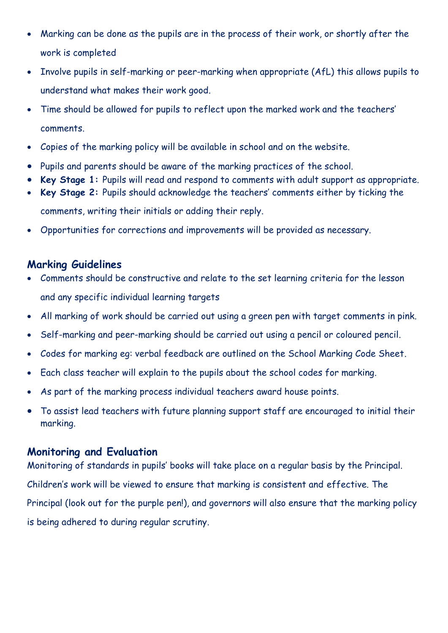- Marking can be done as the pupils are in the process of their work, or shortly after the work is completed
- Involve pupils in self-marking or peer-marking when appropriate (AfL) this allows pupils to understand what makes their work good.
- Time should be allowed for pupils to reflect upon the marked work and the teachers' comments.
- Copies of the marking policy will be available in school and on the website.
- Pupils and parents should be aware of the marking practices of the school.
- **Key Stage 1:** Pupils will read and respond to comments with adult support as appropriate.
- **Key Stage 2:** Pupils should acknowledge the teachers' comments either by ticking the comments, writing their initials or adding their reply.
- Opportunities for corrections and improvements will be provided as necessary.

#### **Marking Guidelines**

- Comments should be constructive and relate to the set learning criteria for the lesson and any specific individual learning targets
- All marking of work should be carried out using a green pen with target comments in pink.
- Self-marking and peer-marking should be carried out using a pencil or coloured pencil.
- Codes for marking eg: verbal feedback are outlined on the School Marking Code Sheet.
- Each class teacher will explain to the pupils about the school codes for marking.
- As part of the marking process individual teachers award house points.
- To assist lead teachers with future planning support staff are encouraged to initial their marking.

#### **Monitoring and Evaluation**

Monitoring of standards in pupils' books will take place on a regular basis by the Principal. Children's work will be viewed to ensure that marking is consistent and effective. The Principal (look out for the purple pen!), and governors will also ensure that the marking policy is being adhered to during regular scrutiny.